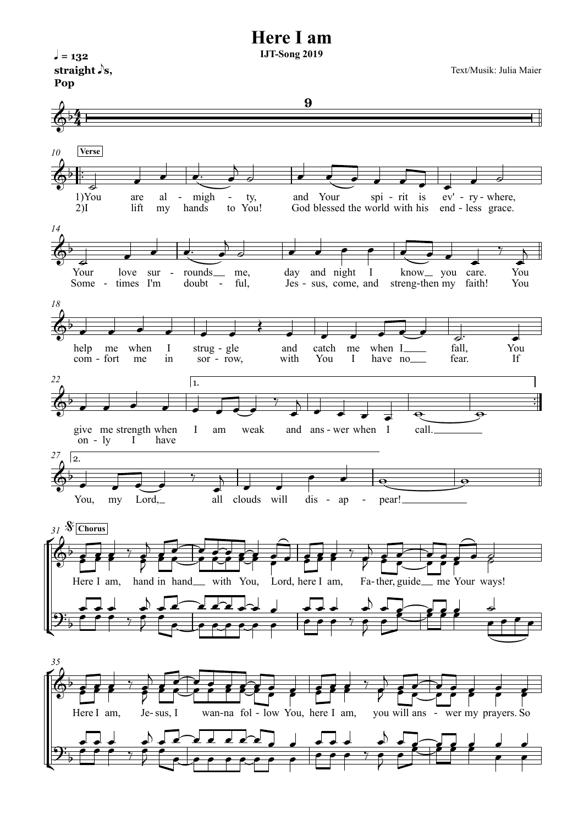



 $\sqrt{ } = 132$ 

Text/Musik: Julia Maier

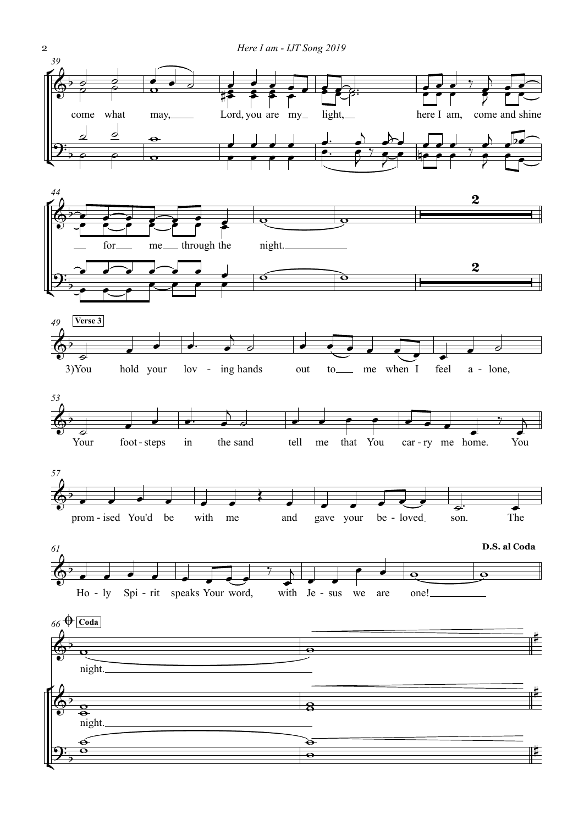

2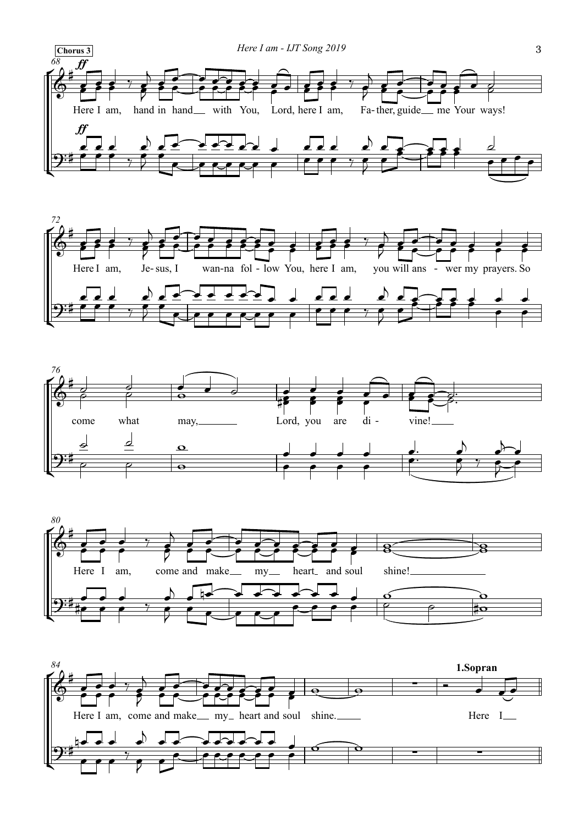